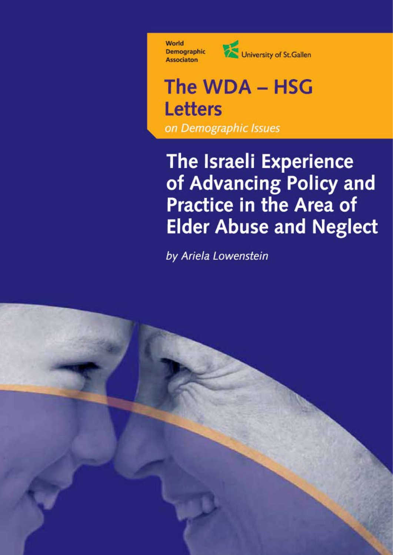World **Demographic Associaton** 



### The WDA - HSG **Letters** on Demographic Issues

### The Israeli Experience of Advancing Policy and **Practice in the Area of Elder Abuse and Neglect**

by Ariela Lowenstein

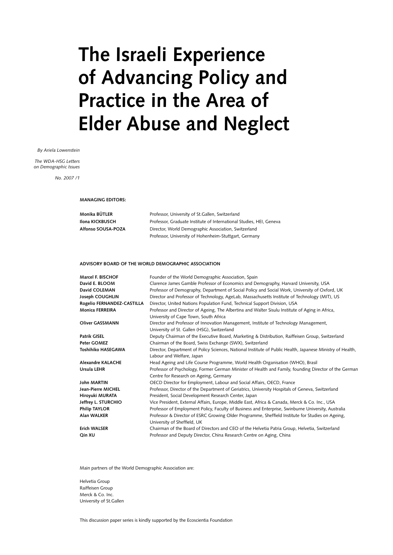### **The Israeli Experience of Advancing Policy and Practice in the Area of Elder Abuse and Neglect**

*By Ariela Lowenstein*

*The WDA-HSG Letters on Demographic Issues*

*No. 2007 /1*

**MANAGING EDITORS:**

| Monika BÜTLER      | Professor, University of St. Gallen, Switzerland                    |
|--------------------|---------------------------------------------------------------------|
| Ilona KICKBUSCH    | Professor, Graduate Institute of International Studies, HEI, Geneva |
| Alfonso SOUSA-POZA | Director, World Demographic Association, Switzerland                |
|                    | Professor, University of Hohenheim-Stuttgart, Germany               |

#### **ADVISORY BOARD OF THE WORLD DEMOGRAPHIC ASSOCIATION**

| Marcel F. BISCHOF          | Founder of the World Demographic Association, Spain                                                        |
|----------------------------|------------------------------------------------------------------------------------------------------------|
| David E. BLOOM             | Clarence James Gamble Professor of Economics and Demography, Harvard University, USA                       |
| David COLEMAN              | Professor of Demography, Department of Social Policy and Social Work, University of Oxford, UK             |
| Joseph COUGHLIN            | Director and Professor of Technology, AgeLab, Massachusetts Institute of Technology (MIT), US              |
| Rogelio FERNANDEZ-CASTILLA | Director, United Nations Population Fund, Technical Support Division, USA                                  |
| <b>Monica FERREIRA</b>     | Professor and Director of Ageing, The Albertina and Walter Sisulu Institute of Aging in Africa,            |
|                            | University of Cape Town, South Africa                                                                      |
| <b>Oliver GASSMANN</b>     | Director and Professor of Innovation Management, Institute of Technology Management,                       |
|                            | University of St. Gallen (HSG), Switzerland                                                                |
| Patrik GISEL               | Deputy Chairman of the Executive Board, Marketing & Distribution, Raiffeisen Group, Switzerland            |
| Peter GOMEZ                | Chairman of the Board, Swiss Exchange (SWX), Switzerland                                                   |
| Toshihiko HASEGAWA         | Director, Department of Policy Sciences, National Institute of Public Health, Japanese Ministry of Health, |
|                            | Labour and Welfare, Japan                                                                                  |
| <b>Alexandre KALACHE</b>   | Head Ageing and Life Course Programme, World Health Organisation (WHO), Brasil                             |
| Ursula LEHR                | Professor of Psychology, Former German Minister of Health and Family, founding Director of the German      |
|                            | Centre for Research on Ageing, Germany                                                                     |
| John MARTIN                | OECD Director for Employment, Labour and Social Affairs, OECD, France                                      |
| Jean-Pierre MICHEL         | Professor, Director of the Department of Geriatrics, University Hospitals of Geneva, Switzerland           |
| Hiroyuki MURATA            | President, Social Development Research Center, Japan                                                       |
| Jeffrey L. STURCHIO        | Vice President, External Affairs, Europe, Middle East, Africa & Canada, Merck & Co. Inc., USA              |
| <b>Philip TAYLOR</b>       | Professor of Employment Policy, Faculty of Business and Enterprise, Swinburne University, Australia        |
| Alan WALKER                | Professor & Director of ESRC Growing Older Programme, Sheffield Institute for Studies on Ageing,           |
|                            | University of Sheffield, UK                                                                                |
| <b>Erich WALSER</b>        | Chairman of the Board of Directors and CEO of the Helvetia Patria Group, Helvetia, Switzerland             |
| Qin XU                     | Professor and Deputy Director, China Research Centre on Aging, China                                       |

Main partners of the World Demographic Association are:

Helvetia Group Raiffeisen Group Merck & Co. Inc. University of St.Gallen

This discussion paper series is kindly supported by the Ecoscientia Foundation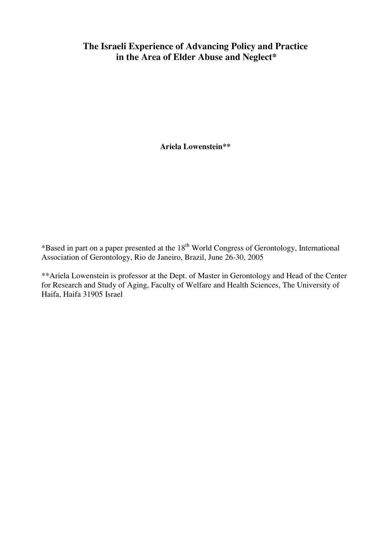## **Israeli Experience of Advancing Policy and Practice the Area of Elder Abuse and Neglect\***

**Lowenstein\*\***

in part on a paper presented at the  $18^{th}$  World Congress of Gerontology, International ted at the  $18^{th}$  World Congress of Ge de Janeiro, Brazil, June 26-30, 2005 \*Based in part on a paper presented at t he 18<sup>th</sup> World Congress of Gerontology, International<br>eiro, Brazil, June 26-30, 2005<br>Dept. of Master in Gerontology and Head of the Center Association of Gerontology, Rio de Janeiro, Brazil, June  $26-30$ , 2005

erontology, Rio de Janeiro, Brazil, June 26-30, 2005<br>Studio is professor at the Dept. of Master in Gerontology and Head of the Cent<br>Study of Aging, Faculty of Welfare and Health Sciences. The University of for Research and Study of Aging, Faculty of Welfare and Health Sciences, The University of Haifa, Haifa 31905 Israel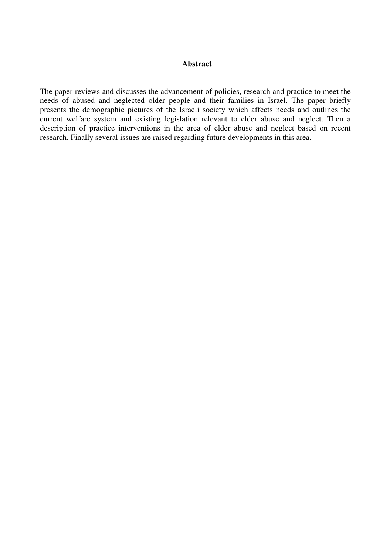#### **Abstract**

Abstract<br>reviews and discusses the advancement of policies, research and practice to meet the In and discusses the advancement of policies, research and practice to meet the and neglected older people and their families in Israel. The paper briefly the demographic pictures of the Israeli society which affects needs and outlines the demographic pictures of the Israeli society which affects needs and outlines the The pa per reviews and discusses the advancement of policies, research and practice to meet the of abused and neglected older people and their families in Israel. The paper briefly s the demographic pictures of the Israeli societ needs of abused and neglected old er people and their families in Israel. The paper briefly<br>if the Israeli society which affects needs and outlines the<br>is legislation relevant to elder abuse and neglect. Then a<br>in the area of elder abuse and neglect based presents the den current welfare system and existing legislation relevant to elder abuse and neglect. Then a description of practice interventions in the area of elder abuse and neglect based on recent research. Finally several issues are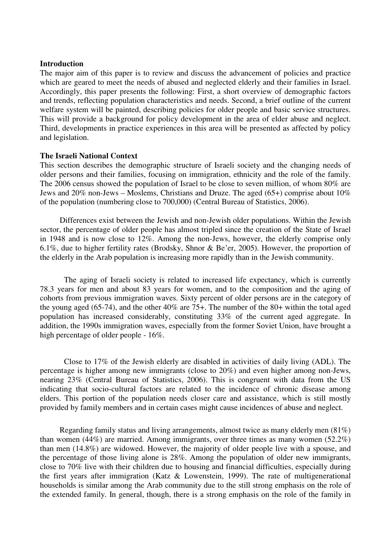#### **Introduction**

on<br>aim of this paper is to review and discuss the advancement of policies and practice exteed to meet the needs of abused and neglected elderly and their families in Israel. If this paper is to review and discuss the advancement of policies and practice ared to meet the needs of abused and neglected elderly and their families in Israel, this paper presents the following: First, a short overvie The major aim of this paper is to review and discu needs the advancement of policies and practice<br>neglected elderly and their families in Israel.<br>st, a short overview of demographic factors<br>needs. Second, a brief outline of the current which are geared to meet the needs of abused and neglected elderly and their families in Israel. be meet the needs of abused and neglected elderly and their families in Israel.<br>aper presents the following: First, a short overview of demographic factors<br>ig population characteristics and needs. Second, a brief outline o Acco beyondingly, this paper presents the following: First, a short overview of demographic factors<br>trends, reflecting population characteristics and needs. Second, a brief outline of the current<br>are system will be painted, des and tre ends, reflecting population characteristics and needs. Second, a brief outline of the current<br>e system will be painted, describing policies for older people and basic service structures.<br>will provide a background for polic welfare system **The Israelish**<br>and legislation. Inflation<br>
and legislation.<br> **The Israeli National Context** legislation.<br>Israeli National Context<br>section describes the demographic structure of Israeli society and the changing needs of

Frequency is a discribed the demographic structure of Israeli society and the changing needs of and their families, focusing on immigration, ethnicity and the role of the family. external extracture of Israeli society and the changing needs of<br>sons and their families, focusing on immigration, ethnicity and the role of the family.<br>census showed the population of Israel to be close to seven million, This section describes the demographic structure of Israeli society and the changing needs of<br>references and their families, focusing on immigration, ethnicity and the role of the family.<br>2006 census showed the population of I ofder persons and their families, focusing on immigration, ethnicity and the role c<br>ne 2006 census showed the population of Israel to be close to seven million, of wl<br>ws and 20% non-Jews – Moslems, Christians and Druze. The and  $20\%$  no: n-Jews – Moslems, Christians and Druze. The aged  $(65+)$  comprise about 10%<br>(numbering close to 700,000) (Central Bureau of Statistics, 2006).<br>exist between the Jewish and non-Jewish older populations. Within the Jewish of the pop

ulation (numbering close to 700,000) (Central Bureau of Statistics, 2006).<br>erences exist between the Jewish and non-Jewish older populations. Within the Jewish<br>percentage of older people has almost tripled since the creati Differences exist between the Jewish and non-Jewish older populations. Within the Jewish ctor, the percentage of older people has almost tripled since the creation of the State of Israel 1948 and is now close to 12%. Among biff erences exist between the Jewish and non-Jewish older populations. Within the Jewish<br>percentage of older people has almost tripled since the creation of the State of Israel<br>nd is now close to 12%. Among the non-Jews, howe sector, the in 1948 and is now close to 12%. Among the non-Jews, however, the elderly comprise only 6.1%, due to higher fertility rates (Brodsky, Shnor & Be'er, 2005). However, the proportion of The aging of Israeli society is related to increased life expectancy, which is currently<br>The aging of Israeli society is related to increased life expectancy, which is currently  $rac{1}{2}$ 

The aging of Israeli society is related to increased life expectancy, which is currently<br>vears for men and about 83 years for women, and to the composition and the aging of The aging of Israeli society is related to increased life expectancy, which is currently are for men and about 83 years for women, and to the composition and the aging of from previous immigration waves. Sixty percent of o The aging of Israeli society is related to increased life expectancy, which is currently<br>out 83 years for women, and to the composition and the aging of<br>gration waves. Sixty percent of older persons are in the category of<br>the other 40% are 75 78.3 years for men and about 83 years for women, and to the composition and the aging of revious immigration waves. Sixty percent of older persons are in the category of  $(65-74)$ , and the other 40% are 75+. The number of the 80+ within cohorts from previous immigration waves. Sixty percent of older persons are in the category of from previous immigration waves. Sixty percent of older persons are in the category of g aged (65-74), and the other 40% are 75+. The number of the 80+ within the total aged on has increased considerably, constituting  $33$ the y beyoung aged (65-74), and the other  $\alpha$ <br>intribution, the 1990s immigration waves<br>percentage of older people - 16%. high percentage of older people -  $16\%$ . der people - 16%.<br>of the Jewish elderly are disabled in activities of daily living (ADL). The

is to 17% of the Jewish elderly are disabled in activities of daily living (ADL). The is higher among new immigrants (close to  $20\%$ ) and even higher among non-Jews. to 17% of the Jewish elderly are disabled in activities of daily living (ADL). The higher among new immigrants (close to  $20\%$ ) and even higher among non-Jews, (Central Bureau of Statistics, 2006). This is congruent with Close to 17% of the Jewish elderl y are disabled in activities of daily living (ADL). The ints (close to 20%) and even higher among non-Jews, cs, 2006). This is congruent with data from the US related to the incidence of chronic disease among percentage is higher among new immigrants (close to  $20\%$ ) and even higher among non-Jews, g new immigrants (close to 20%) and even higher among non-Jews,<br>eau of Statistics, 2006). This is congruent with data from the US<br>ral factors are related to the incidence of chronic disease among<br>population needs closer ca nearing  $23\%$  (Central Burea indicating that socio-cultural factors are related to the incidence of chronic disease among elders. This portion of the population needs closer care and assistance, which is still mostly Regarding family status and living arrangements, almost twice as many elderly men  $(81\%)$ <br>Regarding family status and living arrangements, almost twice as many elderly men  $(81\%)$ piov

Regarding family status and living arrangements, almost twice as many elderly men (81%)<br>women (44%) are married. Among immigrants, over three times as many women (52.2%) Regarding family status and living arrangements, almost twice as many elderly men  $(81\%)$  women  $(44\%)$  are married. Among immigrants, over three times as many women  $(52.2\%)$  men  $(14.8\%)$  are widowed. However, the major Regardin In the family status and living arrangements, almost twice as many elderly men (81%) 44%) are married. Among immigrants, over three times as many women (52.2%) 3%) are widowed. However, the majority of older people live w than women (44%) are married. Among immigrants, over three times as many women (52.2%)  $\lambda$ .8%) are widowed. However, the majority of older people live with a spouse, and ge of those living alone is 28%. Among the population of olde than men  $(14.8\%)$  are widowed. However, the majority of older people live with a spouse, and Immetheory are widowed. However, the majority of older people live with a spouse, and entage of those living alone is 28%. Among the population of older new immigrants, 70% live with their children due to housing and fina the percent age of those living alone is 28%. Among the population of older new immigrants, % live with their children due to housing and financial difficulties, especially during ears after immigration (Katz & Lowenstein, 1999). The close to 70% live wi the first years after immigration (Katz  $\&$  Lowenstein, 1999). The rate of multigenerational households is similar among the Arab community due to the still strong emphasis on the role of the extended family. In general,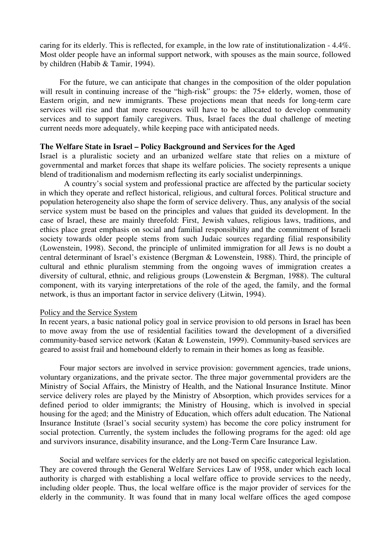caring for its elderly. This is reflected, for example, in the low rate of institutionalization  $-4.4\%$ . g for its elderly. This is reflected, for example, in the low rate of institutionalization - 4.4%.<br>older people have an informal support network, with spouses as the main source, followed ring for its elderly. This is reflectent<br>ost older people have an informal<br>children (Habib & Tamir, 1994). older people have an informal support network, with spouses as the main source, followed<br>Idren (Habib & Tamir, 1994).<br>For the future, we can anticipate that changes in the composition of the older population by children (Habib  $& Tamir, 1994$ ).

Frequency in the composition of the older population<br>For the future, we can anticipate that changes in the composition of the older population<br>result in continuing increase of the "high-risk" groups: the 75+ elderly, wome and uture, we can anticipate that changes in the composition of the older population<br>ontinuing increase of the "high-risk" groups: the 75+ elderly, women, those of<br>and new immigrants. These projections mean that needs for service<sub>s</sub> experiences by the future, we can anticipate that changes in the composition of the older population<br>ult in continuing increase of the "high-risk" groups: the 75+ elderly, women, those of<br>origin, and new immigrants. These projections will rest and to support family caregivers. These projections mean that needs for long-term care<br>will rise and that more resources will have to be allocated to develop community<br>and to support family caregivers. Thus, Israel faces t Easterr services will rise and that more resources will have to be allocated to develop community services and to support family caregivers. Thus, Israel faces the dual challenge of meeting **The Welfare State in Israel – Policy Background and Services for the Aged**<br> **The Welfare State in Israel – Policy Background and Services for the Aged** is a pluralistic society, while keeping pace with anticipated needs.<br> **Welfare State in Israel – Policy Background and Services for the Aged<br>
is a pluralistic society and an urbanized welfare state that relies on a mixture** 

#### The Welfare State in Israel – Policy Background and Services for the Aged

State in Israel – Policy Background and Services for the Aged<br>luralistic society and an urbanized welfare state that relies on a mixture of<br>and market forces that shape its welfare policies. The society represents a unique **el – Policy Background and Services for the Aged** eiety and an urbanized welfare state that relies on forces that shape its welfare policies. The society represent modernism reflecting its early socialist underpinnings. s a pluralis stic society and an urbanized welfare state that relies on a mixture of market forces that shape its welfare policies. The society represents a unique ism and modernism reflecting its early socialist underpinnings. social governmental and market forces that shape its welfare policies. The society represents a unique<br>blend of traditionalism and modernism reflecting its early socialist underpinnings.<br>A country's social system and professional blend of traditionalism and modernism reflecting its early socialist underpinnings.

also shape the form of service are affected by the particular society<br>also shape the form of service delivery. Thus, any analysis of the social<br>also shape the form of service delivery. Thus, any analysis of the social A country's social system and professional practice are affected by the particular society em and professional practice are affected by the particular society<br>ect historical, religious, and cultural forces. Political structure and<br>shape the form of service delivery. Thus, any analysis of the social<br>on the princi in which they operate and reflect historical, religious, and cultural forces. Political structure and<br>erogeneity also shape the form of service delivery. Thus, any analysis of the social<br>i must be based on the principles and values that popul ation heterogeneity also shape the form of service delivery. Thus, any analysis of the social<br>e system must be based on the principles and values that guided its development. In the<br>of Israel, these are mainly threefold: F service system i must be based on the principles and values that guided its development. In the hese are mainly threefold: First, Jewish values, religious laws, traditions, and at emphasis on social and familial responsibility and the comm case of Israe 1, these are mainly threefold: First, Jewish values, religious laws, traditions, and great emphasis on social and familial responsibility and the commitment of Israeli<br>rds older people stems from such Judaic sources regard  $ethics$ place great emphasis on social and familial responsibility and the commitment of Israeli<br>towards older people stems from such Judaic sources regarding filial responsibility<br>nstein, 1998). Second, the principle of unlimited society towa ards older people stems from such Judaic sources regarding filial responsibility, 1998). Second, the principle of unlimited immigration for all Jews is no doubt a minant of Israel's existence (Bergman & Lowenstein, 1988). (Lowenstein, 1998). Second, the principle of unlimited immigration for all Jews is no doubt a<br>of Israel's existence (Bergman & Lowenstein, 1988). Third, the principle of<br>pluralism stemming from the ongoing waves of immigration creates a<br>ethn central determina int of Israel's existence (Bergman & Lowenstein, 1988). Third, the principle of the pluralism stemming from the ongoing waves of immigration creates a tral, ethnic, and religious groups (Lowenstein & Bergman, 1988). The c cultural diversity of cultural, ethnic, and religious groups (Lowenstein  $\&$  Bergman, 1988). The cultural component, with its varying interpretations of the role of the aged, the family, and the formal t, with its varying i<br>is thus an important f<br>the Service System ne recent years, a basic national policy goal in service provision to old persons in Israel has been<br>recent years, a basic national policy goal in service provision to old persons in Israel has been

#### Policy and the Service System

policy and the Service System<br>recent years, a basic national policy goal in service provision to old persons in Israel has been<br>move away from the use of residential facilities toward the development of a diversified vice System<br>basic national policy goal in service provision to old persons in Israel has been<br>om the use of residential facilities toward the development of a diversified<br>service network (Katan & Lowenstein, 1999). Communi In rece Int years, a basic national policy goal in service provision to old persons in Israel I<br>we away from the use of residential facilities toward the development of a div<br>unity-based service network (Katan & Lowenstein, 1999). unity-based service network (Katan & Lowenstein, 1999). Community-based services are<br>I to assist frail and homebound elderly to remain in their homes as long as feasible.<br>Four major sectors are involved in service provisio geared to assist frail and homebound elderly to remain in their homes as long as feasible.

the private sector. The three major government agencies, trade unions,<br>the private sector. The three major governmental providers are the nur major sectors are involved in service provision: government agencies, trade unions, y organizations, and the private sector. The three major governmental providers are the of Social Affairs, the Ministry of Health, and Four major sectors are involved in service provision: government agencies, trade unions, tors are involved in service provision: government agencies, trade unions, and the private sector. The three major governmental providers are the Hairs, the Ministry of Health, and the National Insurance Institute. Minor a voluntary organizations, and the private sector. The three major governmental providers are the irs, the Ministry of Health, and the National Insurance Institute. Minor e played by the Ministry of Absorption, which provides services for a immigran Ministry of Social Affairs, the Ministry of Health, and the National Insurance Institute. Minor<br>very roles are played by the Ministry of Absorption, which provides services for a<br>riod to older immigrants; the Ministry of Housing, whic service delivery ro les are played by the Ministry of Absorption, which provides services for a older immigrants; the Ministry of Housing, which is involved in special ed; and the Ministry of Education, which offers adult education. The Natio defined period to older immigrants; the Ministry of Housing, which is involved in special ed period to older immigrants; the Ministry of Housing, which is involved in special ang for the aged; and the Ministry of Education, which offers adult education. The National unce Institute (Israel's social security syst housing for the aged; and the Ministry of Ed Insurance Institute (Israel's social security system) has become the core policy instrument for social protection. Currently, the system includes the following programs for the aged: old age extion. Currently, the system includes the following programs for the aged: old age<br>is insurance, disability insurance, and the Long-Term Care Insurance Law.<br>and welfare services for the elderly are not based on specific c and s

are university in the General Meltare, and the Long-Term Care Insurance Law.<br>Social and welfare services for the elderly are not based on specific categorical legislation.<br>are covered through the General Welfare Services L The services for the elderly are not based on specific categorical legislation.<br>
Fraugh the General Welfare Services Law of 1958, under which each local<br>
with establishing a local welfare office to provide services to the including Soc ial and welfare services for the elderly are not based on specific categorical legislation.<br>covered through the General Welfare Services Law of 1958, under which each local<br>is charged with establishing a local welfare offi They are cove authority is charged with establishing a local welfare office to provide services to the needy, including older people. Thus, the local welfare office is the major provider of services for the elderly in the community. It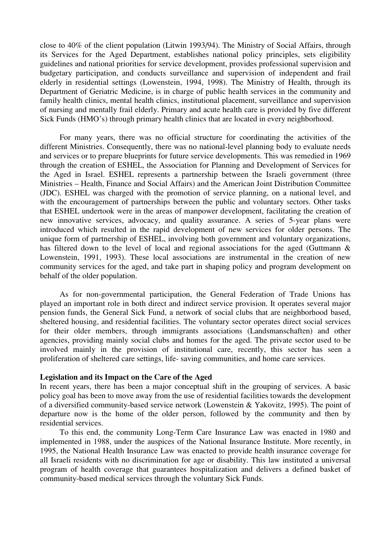close to 40% of the client population (Litwin 1993/94). The Ministry of Social Affairs, through Services for the client population (Litwin 1993/94). The Ministry of Social Affairs, through<br>Services for the Aged Department, establishes national policy principles, sets eligibility 3% of the client population (Litwin 1993/94). The Ministry of Social Affairs, through the Social Pepartment, establishes national policy principles, sets eligibility and national priorities for service development, provide nt population (Litwin 1993/94). The Ministry of Social Affairs, through<br>ed Department, establishes national policy principles, sets eligibility<br>priorities for service development, provides professional supervision and<br>and its Services for the Aged D epartment, establishes national policy principles, sets eligibility<br>ies for service development, provides professional supervision and<br>conducts surveillance and supervision of independent and frail<br>(Lowenstein, 1994, 1998) guidelines and national priorities for service development, provides professional supervision and and national priorities for service development, provides professional supervision and<br>participation, and conducts surveillance and supervision of independent and frail<br>residential settings (Lowenstein, 1994, 1998). The Mi budgetary pa rticipation, and conducts surveillance and supervision of independent and frail sidential settings (Lowenstein, 1994, 1998). The Ministry of Health, through its of Geriatric Medicine, is in charge of public health services  $el<sub>0</sub>$ derly in residential settings (Lowenstein, 1994, 1998). The Ministry of Health, through its<br>epartment of Geriatric Medicine, is in charge of public health services in the community and<br>mily health clinics, mental health cl Dep family health clinics, mental health clinics, institutional placement, surveillance and supervision of nursing and mentally frail elderly. Primary and acute health care is provided by five different elderly. Primary and acute health care is provided by five different<br>primary health clinics that are located in every neighborhood.<br>was no official structure for coordinating the activities of the Sick Fur

ds (HMO's) through primary health clinics that are located in every neighborhood.<br>
In many years, there was no official structure for coordinating the activities of the<br>
Ministries. Consequently, there was no national-leve here was no official structure for coordinating the activities of the equently, there was no national-level planning body to evaluate needs blueprints for future service developments. This was remedied in 1969 For  $r$ many years, there was no official structure for coordinating the activities of the inistries. Consequently, there was no national-level planning body to evaluate needs s or to prepare blueprints for future service developm different Ministries. Consequently, there was no national-level planning body to evaluate needs Consequently, there was no national-level planning body to evaluate needs<br>epare blueprints for future service developments. This was remedied in 1969<br>of ESHEL, the Association for Planning and Development of Services for<br>E and servic es or to prepare blueprints for future service developments. This was remedied in 1969<br>he creation of ESHEL, the Association for Planning and Development of Services for<br>in Israel. ESHEL represents a partnership between th througl h the creation of ESHEL, the Association for Planning and Development of Services for<br>ged in Israel. ESHEL represents a partnership between the Israeli government (three<br>ries – Health, Finance and Social Affairs) and the A the Aged in Israel. ESHEL represents a partnership between the Israeli government (three istries – Health, Finance and Social Affairs) and the American Joint Distribution Committee C). ESHEL was charged with the promotion of s Ministries – Health, Finance and Social Affairs) and the American Joint Distribution Committee in tistries – Health, Finance and Social Affairs) and the American Joint Distribution Committee<br>C). ESHEL was charged with the promotion of service planning, on a national level, and<br>it the encouragement of partnerships be (JDC). ESHEL was charg ged with the promotion of service planning, on a national level, and<br>of partnerships between the public and voluntary sectors. Other tasks<br>ree in the areas of manpower development, facilitating the creation of<br>advocacy, an with the ei ncouragement of partnerships between the public and voluntary sectors. Other tasks L undertook were in the areas of manpower development, facilitating the creation of vative services, advocacy, and quality assurance. A ser that ESHEL undertook were in the areas of manpower development, facilitating the creation of SHEL undertook were in the areas of manpower development, facilitating the creation of nnovative services, advocacy, and quality assurance. A series of 5-year plans were loced which resulted in the rapid development of new new innovative services delta), and quality assurance. A series of 5-year plans were<br>d in the rapid development of new services for older persons. The<br>ip of ESHEL, involving both government and voluntary organizations,<br>level of local and regional introduced which resulted in the rapid development of new services for older persons. The<br>thership of ESHEL, involving both government and voluntary organizations,<br>to the level of local and regional associations for the aged (Guttmann &<br>19 unique forn is of partnership of ESHEL, involving both government and voluntary organizations,<br>i down to the level of local and regional associations for the aged (Guttmann &<br>i, 1991, 1993). These local associations are instrumental i has fi Lowenstein, 1991, 1993). These local associations are instrumental in the creation of new community services for the aged, and take part in shaping policy and program development on for the aged, and take part in shaping policy and program development on<br>for non-governmental participation, the General Federation of Trade Unions has behalf of the older population.

of the older population.<br>As for non-governmental participation, the General Federation of Trade Unions has<br>an important role in both direct and indirect service provision. It operates several major governmental participation, the General Federation of Trade Unions has<br>at role in both direct and indirect service provision. It operates several major<br>General Sick Fund, a network of social clubs that are neighborhood bas As for non -governmental participation, the General Federation of Trade Unions has<br>nt role in both direct and indirect service provision. It operates several major<br>experance of social services operates direct social services<br>and resi played aı In important role in both direct and indirect service provision. It operates several major funds, the General Sick Fund, a network of social clubs that are neighborhood based, housing, and residential facilities. The volun pension funds, the General Sick Fund, a network of social clubs that are neighborhood based, General Sick Fund, a network of social clubs that are neighborhood based, and residential facilities. The voluntary sector operates direct social services embers, through immigrants associations (Landsmanschaften) and othe sheltered housing, and re sidential facilities. The voluntary sector operates direct social services<br>s, through immigrants associations (Landsmanschaften) and other<br>ly social clubs and homes for the aged. The private sector used to be<br>provision of for their older members, through immigrants associations (Landsmanschaften) and other grants associations (Landsmanschaften) and homes for the aged. The private sector use servicional care, recently, this sector has saving communities, and home care services. **Legislation and its Impact on the Care of the Aged**<br> **Legislation and its Impact on the Care of the Aged** oliferation of sheltered care settings, life- saving communities, and home care services.<br> **egislation and its Impact on the Care of the Aged**<br>
recent vears, there has been a major conceptual shift in the grouping of servi

#### Legislation and its Impact on the Care of the Aged

**d its Impact on the Care of the Aged**<br>i, there has been a major conceptual shift in the grouping of services. A basic<br>been to move away from the use of residential facilities towards the development experission and its Impact on the Care of the Aged<br>recent years, there has been a major conceptual shift in the grouping of services. A basic<br>olicy goal has been to move away from the use of residential facilities towards In recent years is, there has been a major conceptual shift in the grouping of services. A basic been to move away from the use of residential facilities towards the development community-based service network (Lowenstein & Yakovitz, 199 policy goal has beer of a diversified community-based service network (Lowenstein & Yakovitz, 1995). The point of field community-based service network (Lowenstein & Yakovitz, 1995). The point of the community and then by al services.<br>
this end, the community Long-Term Care Insurance Law was enacted in 1980 and departure no w is the home of the older person, followed by the community and then by rvices.<br>is end, the community Long-Term Care Insurance Law was enacted in 1980 and<br>in 1988, under the auspices of the National Insurance Institute. M residential services.

Initial services.<br>To this end, the community Long-Term Care Insurance Law was enacted in 1980 and<br>mented in 1988, under the auspices of the National Insurance Institute. More recently, in<br>the National Health Insurance Law To this end, the community Long-Term Care Insurance Law was enacted in 1980 and the in 1988, under the auspices of the National Insurance Institute. More recently, in National Health Insurance Law was enacted to provide healt impleme exted in 1988, under the auspices of the National Insurance Institute. More recently, in<br>the National Health Insurance Law was enacted to provide health insurance coverage for<br>inversal of residents with no discrimination f 1995, the Nationa all Israeli residents with no discrimination for age or disability. This law instituted a universal program of health coverage that guarantees hospitalization and delivers a defined basket of community-based medical servic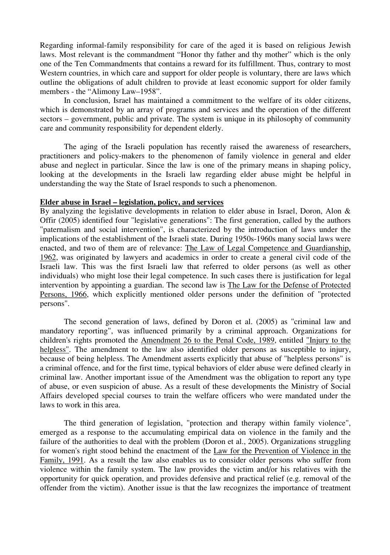Regarding informal-family responsibility for care of the aged it is based on religious Jewish y responsibility for care of the aged it is based on religious Jewish<br>commandment "Honor thy father and thy mother" which is the only extraing informal-family responsibility for care of the aged it is based on religious Jewish<br>s. Most relevant is the commandment "Honor thy father and thy mother" which is the only<br>of the Ten Commandments that contains a r responsibility for care of the aged it is based on religious Jewish<br>ommandment "Honor thy father and thy mother" which is the only<br>ents that contains a reward for its fulfillment. Thus, contrary to most<br>care and support fo laws. Most t relevant is the commandment "Honor thy father and thy mother" which is the only<br>Ten Commandments that contains a reward for its fulfillment. Thus, contrary to most<br>buntries, in which care and support for older people is one of the Ten Commandments that contains a reward for its fulfillment. Thus, contrary to most Ten Commandments that countries, in which care and<br>the "Alimony Law–1958".  $\mathbf{a}$ countries, in which care and support for older people is voluntary, there are laws which<br>le obligations of adult children to provide at least economic support for older family<br>the "Alimony Law-1958".<br>conclusion. Israel has outline the obligations of adult children to provide at least economic support for older family<br>hy Law–1958".<br>Israel has maintained a commitment to the welfare of its older citizens,<br>by an array of programs and services and the operation of the d members - the "Alimony Law-1958".

extractively the "Alimony Law-1958".<br>In conclusion, Israel has maintained a commitment to the welfare of its older citizens, demonstrated by an array of programs and services and the operation of the different government, care andwhich is demonstrated by an array of programs and services and the operation of the different  $\frac{1}{1}$  sectors – government, public and private. The system is unique in its philosophy of community nent, public and private. The system is unique in its philosophy of community<br>ity responsibility for dependent elderly.<br>of the Israeli population has recently raised the awareness of researchers. care and community responsibility for dependent elderly.

munity responsibility for dependent elderly.<br>aging of the Israeli population has recently raised the awareness of researchers,<br>and policy-makers to the phenomenon of family violence in general and elder e aging of the Israeli population has recently raised the awareness of researchers, ers and policy-makers to the phenomenon of family violence in general and elder neglect in particular. Since the law is one of the primary lookingThe aging of the Israeli population has recently raised the awareness of researchers, oners and policy-makers to the phenomenon of family violence in general and elder nd neglect in particular. Since the law is one of the practitioners a abuse and neglect in particular. Since the law is one of the primary means in shaping policy, looking at the developments in the Israeli law regarding elder abuse might be helpful in Elder abuse in Israel – legislation, policy, and services derstanding the way the State of Israel responds to such a phenomenon.<br>**der abuse in Israel – legislation, policy, and services**<br>analyzing the legislative developments in relation to elder abuse in Israel. Doron, Alon &

#### Elder abuse in Israel – legislation, policy, and services

**in Israel – legislation, policy, and services**<br>g the legislative developments in relation to elder abuse in Israel, Doron, Alon &<br>identified four "legislative generations": The first generation, called by the authors **Sachush intervention is characterized**<br>
intervention to elder abuse in Israel, Doron, Alon &<br>
intervention "legislative generations": The first generation, called by the authors<br>
social intervention", is characterized by By analyzin g the legislative developments in relation to elder abuse in Israel, Doron, Alon & identified four "legislative generations": The first generation, called by the authors and social intervention", is characterized by the in Offir (2005) identified four "legislative generations": The first generation, called by the authors identified four "legislative generations": The first generation, called by the authors<br>and social intervention", is characterized by the introduction of laws under the<br>of the establishment of the Israeli state. During 1950 "paternalis originated by the introduction of laws under the<br>ns of the establishment of the Israeli state. During 1950s-1960s many social laws were<br>nd two of them are of relevance: <u>The Law of Legal Competence and Guardianship</u>,<br>origi implications of the esta ablishment of the Israeli state. During 1950s-1960s many social laws were<br>nem are of relevance: <u>The Law of Legal Competence and Guardianship</u>,<br>by lawyers and academics in order to create a general civil code of the<br>the fi enacted, and two of them are of relevance: <u>The Law of Legal Competence and Guardianship</u>, ated by lawyers and academics in order to create a general civil code of the s was the first Israeli law that referred to older persons (as well as  $1962$ , was originated by lav vyers and academics in order to create a general civil code of the first Israeli law that referred to older persons (as well as other their legal competence. In such cases there is justification for legal guardian. The sec Israeli law. This was the first Israeli law that referred to older persons (as well as other the first Israeli law that referred to older persons (as well as other<br>the definition for legal competence. In such cases there is justification for legal<br>ting a guardian. The second law is <u>The Law for the Defense of Prot</u> individuals) who might lose their legal competence. In such cases there is justification for legal persons". 9. 1966, which explicitly mentioned older persons under the definition of "protected".<br>".<br>The second generation of laws, defined by Doron et al. (2005) as "criminal law and

reproducement al. (2005) as "criminal law and<br>reporting", was influenced primarily by a criminal approach. Organizations for The second generation of laws, defined by Doron et al. (2005) as "criminal law and<br>mandatory reporting", was influenced primarily by a criminal approach. Organizations for<br>children's rights promoted the Amendment 26 to the The se cond generation of laws, defined by Doron et al. (2005) as "criminal law and<br>porting", was influenced primarily by a criminal approach. Organizations for<br>ts promoted the <u>Amendment 26 to the Penal Code, 1989</u>, entitled <u>"I</u> mandato ory reporting", was influenced primarily by a criminal approach. Organizations for<br>
is rights promoted the <u>Amendment 26 to the Penal Code, 1989</u>, entitled <u>"Injury to the<br>
i"</u>. The amendment to the law also identified old children's rights promoted the Amendment 26 to the Penal Code, 1989, entitled "Injury to the rights promoted the <u>Amendment 26 to the Penal Code, 1989</u>, entitled <u>"Injury to the</u><br>The amendment to the law also identified older persons as susceptible to injury,<br>f being helpless. The Amendment asserts explicitly that helpless ". The amendment to the law also identified older persons as susceptible to injury, of being helpless. The Amendment asserts explicitly that abuse of "helpless persons" is al offence, and for the first time, typical behavi because of being helpless. The Amendment asserts explicitly that abuse of "helpless persons" is cause of being helpless. The Amendment asserts explicitly that abuse of "helpless persons" is<br>criminal offence, and for the first time, typical behaviors of elder abuse were defined clearly in<br>iminal law. Another important a criminal offence, and for courses to train the welfare of the Amendment was the obligation to report any type<br>on of abuse. As a result of these developments the Ministry of Social<br>courses to train the welfare officers who were mandated under the crim of abuse, or even suspicion of abuse. As a result of these developments the Ministry of Social Affairs developed special courses to train the welfare officers who were mandated under the d special courses to train the welfare officers who were mandated under the<br>is area.<br>generation of legislation, "protection and therapy within family violence", laws to work in this area.

in this area.<br>
ird generation of legislation, "protection and therapy within family violence",<br>
response to the accumulating empirical data on violence in the family and the The third generation of legislation, "protection and therapy within family violence", ed as a response to the accumulating empirical data on violence in the family and the of the authorities to deal with the problem (Doron The third generation of legislation, "protection and therapy within family violence",<br>emerged as a response to the accumulating empirical data on violence in the family and the<br>failure of the authorities to deal with the p emerge 1991. As a response to the accumulating empirical data on violence in the family and the of the authorities to deal with the problem (Doron et al., 2005). Organizations struggling men's right stood behind the enactment of failure o f the authorities to deal with the problem (Doron et al., 2005). Organizations struggling<br>en's right stood behind the enactment of the Law for the Prevention of Violence in the<br>1991. As a result the law also enables us to for women's is right stood behind the enactment of the Law for the Prevention of Violence in the  $91$ . As a result the law also enables us to consider older persons who suffer from ithin the family system. The law provides the victim <u>Family, 1991</u>. As violence within the family system. The law provides the victim and/or his relatives with the opportunity for quick operation, and provides defensive and practical relief (e.g. removal of the offender from the victim). Anot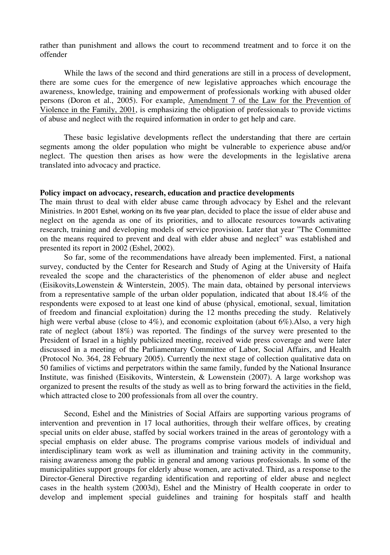than punishment and allows the court to recommend treatment and to force it on the unishment and allows the court to recommend treatment and to force it on the<br>the laws of the second and third generations are still in a process of development. offender

Some cues for the second and third generations are still in a process of development,<br>some cues for the emergence of new legislative approaches which encourage the ile the laws of the second and third generations are still in a process of development,<br>some cues for the emergence of new legislative approaches which encourage the<br>knowledge, training and empowerment of professionals wor personsWhile the laws of the second and third generations are still in a process of development,<br>re some cues for the emergence of new legislative approaches which encourage the<br>ess, knowledge, training and empowerment of profess there are some cues for the emergence of new legislative approaches which encourage the is some cues for the emergence of new legislative approaches which encourage the ss, knowledge, training and empowerment of professionals working with abused older (Doron et al., 2005). For example, Amendment 7 of the Law av persons (Doron et al., 2005). For example, Amendment 7 of the Law for the Prevention of Violence in the Family, 2001, is emphasizing the obligation of professionals to provide victims mily, 2001, is emphasizing the obligation of professionals to provide victims<br>t with the required information in order to get help and care.<br>legislative developments reflect the understanding that there are certain of abuse and neglect with the required information in order to get help and care.

and neglect with the required information in order to get help and care.<br>hese basic legislative developments reflect the understanding that there are certain<br>among the older population who might be vulnerable to experience the basic legislative developments reflect the understanding that there are certain<br>then arises as how were the developments in the legislative arena the state of the state of the state of the state of the state of the state of the state of the state of the state of the state of the state of the state of the state of the state of the state of the state of the state of t segments among the older population who might be vulnerable to experience abuse and/or neglect. The question then arises as how were the developments in the legislative arena translated into advocacy and practice.

# ranslated into advocacy and practice.<br>**Policy impact on advocacy, research, education and practice developments**

acy, research, education and practice developments<br>with elder abuse came through advocacy by Eshel and the relevant In 2001 Eshel, working on its five year plan, decided to place the issue of elder abuse and<br>In 2001 Eshel, working on its five year plan, decided to place the issue of elder abuse and **impact on advocacy, research, education and practice developments**<br>ain thrust to deal with elder abuse came through advocacy by Eshel and the relevant<br>ies. In 2001 Eshel, working on its five year plan, decided to place th The main thrust to d eal with elder abuse came through advocacy by Eshel and the relevant<br>hel, working on its five year plan, decided to place the issue of elder abuse and<br>la as one of its priorities, and to allocate resources towards activati  $\mathbf{M}$ inistries. In 2001 Eshel, working on its five year plan, decided to place the issue of elder abuse and glect on the agenda as one of its priorities, and to allocate resources towards activating search, training and develop neglect on the agenda as one of its priorities, and to allocate resources towards activating the agenda as one of its pri<br>ining and developing models<br>is required to prevent and de<br>report in 2002 (Eshel, 2002). 1, 1 training and developing models of service provision. Later that year "The Committee<br>cans required to prevent and deal with elder abuse and neglect" was established and<br>its report in 2002 (Eshel, 2002).<br>far, some of the rec on the means requ ired to prevent and deal with elder abuse and neglect" was established and<br>t in 2002 (Eshel, 2002).<br>ne of the recommendations have already been implemented. First, a national<br>by the Center for Research and Study of Aging a presented its report in 2002 (Eshel, 2002).

d its report in 2002 (Eshel, 2002).<br>So far, some of the recommendations have already been implemented. First, a national<br>conducted by the Center for Research and Study of Aging at the University of Haifa<br>the scope and the So far, some of the e recommendations have already been implemented. First, a national Center for Research and Study of Aging at the University of Haifa the characteristics of the phenomenon of elder abuse and neglect Winterstein, 2005). The survey. representative sample of the urban older phenomenon of elder abuse and neglect solid the scope and the characteristics of the phenomenon of elder abuse and neglect solvits, Lowenstein & Winterstein, 2005). The main data, revealed the scope and the characteristics of the phenomenon of elder abuse and neglect the characteristics of the phenomenon of elder abuse and neglect<br>Winterstein, 2005). The main data, obtained by personal interviews<br>ple of the urban older population, indicated that about 18.4% of the<br>to at least one kind (E freedom and financial exploitation) during the 12 months preceding the study. Relatively<br>freedom and financial exploitation) during the 12 months preceding the study. Relatively<br>freedom and financial exploitation) during from i a representative sample of the urban older population, indicated that about 18.4% of the ondents were exposed to at least one kind of abuse (physical, emotional, sexual, limitation reedom and financial exploitation) dur respondents were exposed to at least one kind of abuse (physical, emotional, sexual, limitation oondents were exposed to at least one kind of abuse (physical, emotional, sexual, limitation<br>reedom and financial exploitation) during the 12 months preceding the study. Relatively<br>1 were verbal abuse (close to 4%), and e of freedom and financ ial exploitation) during the 12 months preceding the study. Relatively<br>e (close to 4%), and economic exploitation (about 6%).<br>Also, a very high 18%) was reported. The findings of the survey were presented to the<br>highly pu high were verl beta abuse (close to 4%), and economic exploitation (about 6%). Also, a very high t (about 18%) was reported. The findings of the survey were presented to the rael in a highly publicized meeting, received wide press covera rate of negle ct (about 18%) was reported. The findings of the survey were presented to the srael in a highly publicized meeting, received wide press coverage and were later a meeting of the Parliamentary Committee of Labor, Social Affa  $Pr$ esident of Israel in a highly publicized meeting, received wide press coverage and were later<br>scussed in a meeting of the Parliamentary Committee of Labor, Social Affairs, and Health<br>rotocol No. 364, 28 February 2005). Cur discussed in a meeting of the Parliamentary Committee of Labor, Social Affairs, and Health 364, 28 February 2005). Currently the next stage of collection qualitative data on incitions and perpetrators within the same family, funded by (Protocol No. 364, 28 February 2005). Currently the next stage of collection qualitative data on 28 February 2005). Currently the next stage of collection qualitative data on is and perpetrators within the same family, funded by the National Insurance ed (Eisikovits, Winterstein,  $\&$  Lowenstein (2007). A large works  $50$  families of  $\overline{v}$ Institute, was finished (Eisikovits, Winterstein, & Lowenstein (2007). A large workshop was organized to present the results of the study as well as to bring forward the activities in the field, Exercise the results of the study as well as to bring forward the activities in the field, close to 200 professionals from all over the country.<br>Eshel and the Ministries of Social Affairs are supporting various programs of which attracted close to 200 professionals from all over the country.

prevention in 17 local authorities, through their welfare offices, by creating<br>prevention in 17 local authorities, through their welfare offices, by creating Second, Eshel and the Ministries of Social Affairs are supporting various programs of ntion and prevention in 17 local authorities, through their welfare offices, by creating units on elder abuse, staffed by social workers Second, Eshel and the Ministries of Social Affairs are supporting various programs of ntion and prevention in 17 local authorities, through their welfare offices, by creating units on elder abuse, staffed by social workers intervention and preve ention in 17 local authorities, through their welfare offices, by creating<br>abuse, staffed by social workers trained in the areas of gerontology with a<br>elder abuse. The programs comprise various models of individual and<br>wor special units on elder abuse, staffed by social workers trained in the areas of gerontology with a lder abuse, staffed by social workers trained in the areas of gerontology with a<br>on elder abuse. The programs comprise various models of individual and<br>team work as well as illumination and training activity in the communi special emphasis on elder al buse. The programs comprise various models of individual and<br>as well as illumination and training activity in the community,<br>public in general and among various professionals. In some of the<br>for elderly abuse women, are ac interdisciplinary team work as well as illumination and training activity in the community, s among the public in general and among various professionals. In some of the pport groups for elderly abuse women, are activated. Third, as a respo raisin ing awareness among the public in general and among various professionals. In some of the cipalities support groups for elderly abuse women, are activated. Third, as a response to the tor-General Directive regarding identi municipalitie Director-General Directive regarding identification and reporting of elder abuse and neglect cases in the health system (2003d), Eshel and the Ministry of Health cooperate in order to develop and implement special guidelin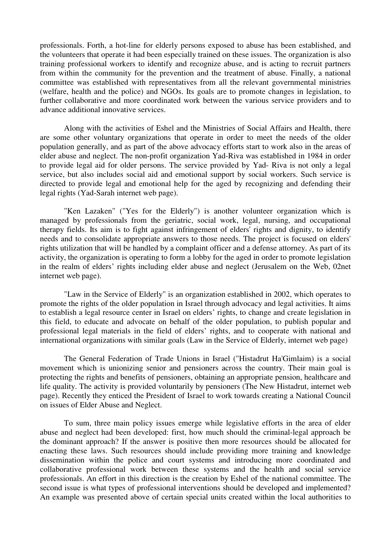professionals. Forth, a hot-line for elderly persons exposed to abuse has been established, and t-line for elderly persons exposed to abuse has been established, and<br>it had been especially trained on these issues. The organization is also professional workers to identify and recognize abuse has been established, and inteers that operate it had been especially trained on these issues. The organization is also professional workers to identify and recognize ab s. Forth, a hot-line for elderly persons exposed to abuse has been established, and<br>rs that operate it had been especially trained on these issues. The organization is also<br>fessional workers to identify and recognize abuse the volunteers t hat operate it had been especially trained on these issues. The organization is also<br>isonal workers to identify and recognize abuse, and is acting to recruit partners<br>e community for the prevention and the treatment of abu training professional workers to identify and recognize abuse, and is acting to recruit partners ional workers to identify and recognize abuse, and is acting to recruit partners<br>community for the prevention and the treatment of abuse. Finally, a national<br>established with representatives from all the relevant governmen from within the commun (welfare, health and the police) and NGOs. Its goals are to promote changes in legislation, to committee was established with representatives from all the relevant governmental ministries further collaborative and more coordinated work between the various service providers and to orative and more coordinated work between the various service providers and to<br>ional innovative services.<br>with the activities of Eshel and the Ministries of Social Affairs and Health, there advance additional innovative services.

in the activities of Eshel and the Ministries of Social Affairs and Health, there<br>voluntary organizations that operate in order to meet the needs of the older tivities of Eshel and the Ministries of Social Affairs and Health, there  $\gamma$  organizations that operate in order to meet the needs of the older as part of the above advocacy efforts start to work also in the areas of Along w vith the activities of Eshel and the Ministries of Social Affairs and Health, there<br>voluntary organizations that operate in order to meet the needs of the older<br>rally, and as part of the above advocacy efforts start to wor ar e some other voluntary organizations that operate in order to meet the needs of the older opulation generally, and as part of the above advocacy efforts start to work also in the areas of der abuse and neglect. The non-pro populat ion generally, and as part of the above advocacy efforts start to work also in the areas of<br>but and neglect. The non-profit organization Yad-Riva was established in 1984 in order<br>ide legal aid for older persons. The servic elder ab use and neglect. The non-profit organization Yad-Riva was established in 1984 in order<br>de legal aid for older persons. The service provided by Yad-Riva is not only a legal<br>but also includes social aid and emotional support to provide legal aid for older persons. The service provided by Yad-Riva is not only a legal ns. Th<br>l and e<br>lonal h<br>page). directed to provide legal and emotional help for the aged by recognizing and defending their Internal and emotional help for the aged by recognizing and defending their<br>
Yad-Sarah internet web page).<br>
Lazaken'' ("Yes for the Elderly") is another volunteer organization which is legal rights (Yad-Sarah internet web page).

From the gradiently is another volunteer organization which is<br>from the geriatric, social work, legal, nursing, and occupational Lazaken" ("Yes for the Elderly") is another volunteer organization which is<br>professionals from the geriatric, social work, legal, nursing, and occupational<br>Its aim is to fight against infringement of elders' rights and dig needs in the set of the set of the set of the set of the set of the set of the set of the set of the set of th en Lazaken" ("Yes for the Elderly") is another volunteer organization which is<br>by professionals from the geriatric, social work, legal, nursing, and occupational<br>elds. Its aim is to fight against infringement of elders' ri managed by professionals from the geriatric, social work, legal, nursing, and occupational ged by professionals from the geriatric, social work, legal, nursing, and occupational<br>by fields. Its aim is to fight against infringement of elders' rights and dignity, to identify<br>and to consolidate appropriate answers t therapy fields. Its aim is to fight against infringement of elders' rights and dignity, to identify<br>and to consolidate appropriate answers to those needs. The project is focused on elders'<br>ilization that will be handled by a compl needs and to consolidate appropriate answers to those needs. The project is focused on elders' the realm of elders' rights including elder abuse and neglect is focused on elders'<br>ghts utilization that will be handled by a complaint officer and a defense attorney. As part of its<br>tivity, the organization is operating rights u activity, the organization is operating to form a lobby for the aged in order to promote legislation in the realm of elders' rights including elder abuse and neglect (Jerusalem on the Web, 02net of elders' rights including elder abuse and neglect (Jerusalem on the Web, 02net page).<br>in the Service of Elderly" is an organization established in 2002, which operates to internet web page).

required to page).<br>The older is the older population in Israel through advocacy and legal activities. It aims<br>in Israel through advocacy and legal activities. It aims "Law in the Service of Elderly" is an organization established in 2002, which operates to omote the rights of the older population in Israel through advocacy and legal activities. It aims establish a legal resource center "Law in the Service of Elderly" is an organization established in 2002, which operates to mote the rights of the older population in Israel through advocacy and legal activities. It aims stablish a legal resource center in promote the rights is of the older population in Israel through advocacy and legal activities. It aims<br>I resource center in Israel on elders' rights, to change and create legislation in<br>cate and advocate on behalf of the older population, to to establish a legal resourc this field, to educate and advocate on behalf of the older population, to publish popular and professional legal materials in the field of elders' rights, and to cooperate with national and naterials in the field of elders' rights, and to cooperate with national and<br>
tations with similar goals (Law in the Service of Elderly, internet web page)<br>
Federation of Trade Unions in Israel ("Histadrut Ha'Gimlaim) is a internation

al organizations with similar goals (Law in the Service of Elderly, internet web page)<br>e General Federation of Trade Unions in Israel ("Histadrut Ha'Gimlaim) is a social<br>which is unionizing senior and pensioners across the rights and Federation of Trade Unions in Israel ("Histadrut Ha'Gimlaim) is a social<br>inch is unionizing senior and pensioners across the country. Their main goal is<br>rights and benefits of pensioners, obtaining an appropriat The General Federation of Trade Unions in Israel ("Histadrut Ha'Gimlaim) is a social General Federation of Trade Unions in Israel ("Histadrut Ha'Gimlaim) is a social<br>which is unionizing senior and pensioners across the country. Their main goal is<br>he rights and benefits of pensioners, obtaining an appropria mover ment which is unionizing senior and pensioners across the country. Their main goal is<br>ting the rights and benefits of pensioners, obtaining an appropriate pension, healthcare and<br>ality. The activity is provided voluntarily protecting the rights and benefits of pensioners, obtaining an appropriate pension, healthcare and be is the rights and benefits of perpendiculary. The activity is provided v<br>ge). Recently they enticed the Presi<br>issues of Elder Abuse and Neglect. page). Recently they enticed the President of Israel to work towards creating a National Council page). Recently they enticed the President of Israel to work towards creating a National Council<br>on issues of Elder Abuse and Neglect.<br>To sum, three main policy issues emerge while legislative efforts in the area of elder on issues of Elder Abuse and Neglect.

of Elder Abuse and Neglect.<br>
we sum, three main policy issues emerge while legislative efforts in the area of elder<br>
neglect had been developed: first, how much should the criminal-legal approach be blicy issues emerge while legislative efforts in the area of elder eveloped: first, how much should the criminal-legal approach be answer is positive then more resources should be allocated for If the main policy issues emerge while legislative efforts in the area of elder<br>lect had been developed: first, how much should the criminal-legal approach be<br>approach? If the answer is positive then more resources should abuse and neglect had d been developed: first, how much should the criminal-legal approach be<br>th? If the answer is positive then more resources should be allocated for<br>Such resources should include providing more training and knowledge<br>the poli the dominant approach? It f the answer is positive then more resources should be allocated for<br>a resources should include providing more training and knowledge<br>police and court systems and introducing more coordinated and<br>work between these systems enacting these laws.  $S<sub>1</sub>$ in the police and court systems and introducing more coordinated and<br>the police and court systems and introducing more coordinated and<br>nal work between these systems and the health and social service<br>in this direction is t dissem ination within the police and court systems and introducing more coordinated and<br>prative professional work between these systems and the health and social service<br>ionals. An effort in this direction is the creation by Eshe col professionals. An effort in this direction is the creation by Eshel of the national committee. The second issue is what types of professional interventions should be developed and implemented?<br>An example was presented abov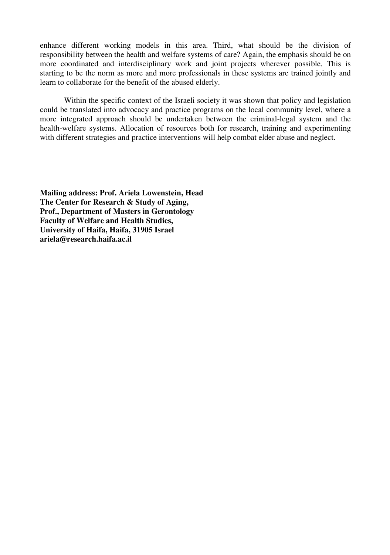enhance different working models in this area. Third, what should be the division of orking models in this area. Third, what should be the division of the health and welfare systems of care? Again, the emphasis should be on nce different working models in this area. Third, what should be the division of msibility between the health and welfare systems of care? Again, the emphasis should be on coordinated and interdisciplinary work and joint p norm as more and more professionals in these systems of care? Again, the emphasis should be on<br>and interdisciplinary work and joint projects wherever possible. This is<br>norm as more and more professionals in these systems a responsibility between the health and welfare systems of<br>I interdisciplinary work and join<br>in as more and more professionals<br>the benefit of the abused elderly. to be t the specific context of the abused elderly.<br>the specific context of the Israeli society it was shown that policy and legislation learn to collaborate for the benefit of the abused elderly.

be abused elderly.<br>
the Israeli society it was shown that policy and legislation<br>
practice programs on the local community level, where a Within the specific context of the Israeli society it was shown that policy and legislation<br>the translated into advocacy and practice programs on the local community level, where a<br>integrated approach should be undertaken **Within** the specific context of the Israeli society it was shown that policy and legislation lated into advocacy and practice programs on the local community level, where a ed approach should be undertaken between the criminal-leg coul more integrated approach should be undertaken between the criminal-legal system and the health-welfare systems. Allocation of resources both for research, training and experimenting with different strategies and practice i

 **Prof. Ariela Lowenstein, Head Research & Study of Aging, Mailing address: Prof. Ariela Lowenstein, He<br>The Center for Research & Study of Aging,<br>Prof.. Department of Masters in Gerontology both Article Edwents:**<br> **and Health Studies.**<br> **and Health Studies.** The Center for Research & Study of Aging, **Prof., Department of Masters in Geront Prof., Department of Masters in Geront Faculty of Welfare and Health Studies, University of Haifa, Haifa, 31905 Israel Faculty of Welfare and Health Studies,** ariela@research.haifa.ac.il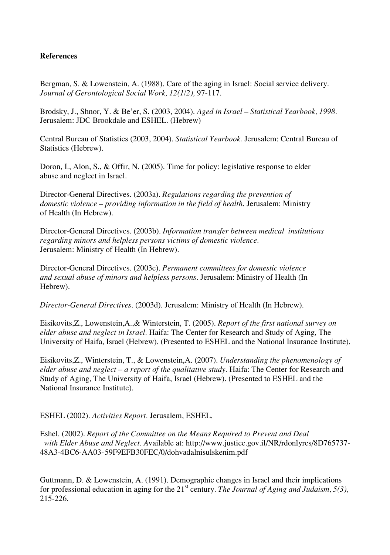#### **References**

 S. & Lowenstein, A. (1988). Care of the aging in Israel: Social service delivery. *of Gerontological Social Work, 12(1/2),* 97-117. Bergman, S. & Lowenstein, A. (1988). Care of the aging in Israel: Social service delivery.<br>*Journal of Gerontological Social Work, 12(1/2), 97-117.*<br>Brodsky, J., Shnor, Y. & Be'er, S. (2003, 2004). *Aged in Israel – Statis* Journal of Gerontological Social Work, 12(1/2), 97-117.

Gerontological Social Work, 12(1/2), 9<br>
., Shnor, Y. & Be'er, S. (2003, 2004). A<br>
JDC Brookdale and ESHEL. (Hebrew) Brodsky, J., Shnor, Y. & Be'er, S. (2003, 2004). *Aged in Israel – Statistical Yearbook, 1998.*<br>Jerusalem: JDC Brookdale and ESHEL. (Hebrew)<br>Central Bureau of Statistics (2003. 2004). *Statistical Yearbook. J*erusalem: Cen Jerusalem: JDC Brookdale and ESHEL. (Hebrew).

Statistics (Hebrew). Central Bureau of Statistics (2003, 2004). Statistical Yearbook. Jerusalem: Central B<br>Statistics (Hebrew).<br>Doron, I., Alon, S., & Offir, N. (2005). Time for policy: legislative response to elder

(Hebrew).<br>Alon, S., & Offin<br>neglect in Israel. Doron, I., Alon, S S., & Offir, N. (2005). Time for policy: legislative response to<br>t in Israel.<br>Directives. (2003a). *Regulations regarding the prevention of* abuse and neglect in Israel.

 *violence – providing information in the field of health*. Jerusalem: Ministry irector-General Director-General Director<br>*In Health (In Hebrew)*. domestic violence  $-$  providing information in the field of health. Jerusalem: Ministry e – providing information in the field of health. Jerusalem: Ministry<br>prew).<br>Directives. (2003b). *Information transfer between medical institutions* of Health (In Hebrew).

 *minors and helpless persons victims of domestic violence.* Feneral Directives. (2003b). *Infor*<br>*Ministry of Health (In Hebrew).*<br>Ministry of Health (In Hebrew). regarding minors and helpless persons victims of domestic violence. If and helpless persons victims of domestic violence.<br>
Interpretives. (2003c). *Permanent committees for domestic violence* **Jerusalem:** Ministry of Health (In Hebrew).

*salem: Ministry of Health (In Hebrew).*<br>ector-General Directives. (2003c). *Permanent committees for domestic violence*<br>*sexual abuse of minors and helpless persons. Jerusalem: Ministry of Health (In* Hebrew). *and sexual abuse of minors and helpless persons.* Jerusalem: Ministry of Health (In *and sexual abuse of minors and helpless persons.* Jerusalem: Ministry of Health (I<br>Hebrew).<br>*Director-General Directives.* (2003d). Jerusalem: Ministry of Health (In Hebrew).

Lowenstein, A., & Winterstein, T. (2005). *Report of the first national survey on*<br>
Lowenstein,A.,& Winterstein, T. (2005). *Report of the first national survey on* 

*al Directives.* (2003d). Jerusalem: Ministry of Health (In Hebrew).<br>
bwenstein,A.,& Winterstein, T. (2005). *Report of the first national survey c*<br> *neglect in Israel*. Haifa: The Center for Research and Study of Aging. Z., Lowenstein, A., & Winterstein, T. (2005). *Report of the first national survey on* e and neglect in Israel. Haifa: The Center for Research and Study of Aging, The of Haifa. Israel (Hebrew). (Presented to ESHEL and the elder abuse a nd neglect in Israel. Haifa: The Center for Research and Study of Aging, The<br>Haifa, Israel (Hebrew). (Presented to ESHEL and the National Insurance Institution<br>Winterstein, T., & Lowenstein,A. (2007). *Understanding the ph <u>University</u> of Ha* 

*neglect –*<br> *neglect – a report of the aualitative study. Haifa: The Center for Research and*<br> *neglect – a report of the aualitative study. Haifa: The Center for Research and* rstein, T., & Lowenstein, A. (2007). *Understanding the phenomenolof lect* – *a report of the qualitative study*. Haifa: The Center for Resear University of Haifa. Israel (Hebrew). (Presented to ESHEL and the Eisikovits,Z., Wint erstein, T.<br>*glect – a r*<br>ne Univers.<br>Institute). National Insurance Institute).

Vational Insurance Institute).<br>*SHEL (2002). Activities Report.* Jerusalem, ESHEL.

 (2002). *Report of the Committee on the Means Required to Prevent and Deal Elder Abuse and Neglect. A*vailable at: http://www.justice.gov.il/NR/rdonlyres/8D765737- 48A3-4BC6-AA03-59F9EFB30FEC/0/dohvadalnisulskenim.pdf % AA03-59F9EFB30FEC/0/dohvadalnisulskenim.pdf<br>D. & Lowenstein, A. (1991). Demographic changes in Israel and their implications

for the 21<sup>st</sup> century. *The Journal of Aging and Judaism, 5(3)*,  $215 - 226$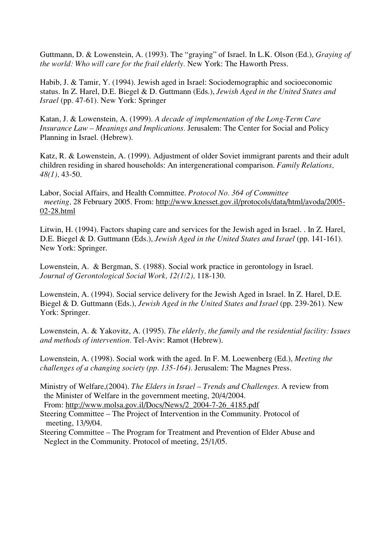D. & Lowenstein, A. (1993). The "graying" of Israel. In L.K. Olson (Ed.), *Graying of will care for the frail elderly.* New York: The Haworth Press. Guttma ann, D. & Lowenstein, A. (1993). The "graying" of Israel. In L.K. Olson (Ed.), *Gray*<br>*rld: Who will care for the frail elderly*. New York: The Haworth Press.<br>J. & Tamir. Y. (1994). Jewish aged in Israel: Sociodemographic the world: Who will care for the frail elderly. New York: The Haworth Press.

Frail elderly. New York: The Haworth Press.<br>Vish aged in Israel: Sociodemographic and socioeconomic<br>D. Guttmann (Eds.), *Jewish Aged in the United States and Habib, J. & Tamir, Y. (1994). Jewish as*<br>*Israel (pp. 47-61). New York: Springer* status. In Z. Harel, D.E. Biegel & D. Guttmann (Eds.), Jewish Aged in the United States and In Z. Harel, D.E. Biegel & D. Guttmann (Eds.), *Jewish Aged in the United States*<br>(pp. 47-61). New York: Springer<br>J. & Lowenstein, A. (1999). *A decade of implementation of the Long-Term Care Israel* (pp. 47-61). New York: Springer

 *– Meanings and Implications.* Jerusalem: The Center for Social and Policy & Lowenstein, A. (<br>*e Law – Meanings a*<br>in Israel. (Hebrew). Insurance Law – Meanings and Implications. Jerusalem: The Center for Social and Policy<br>1 Israel. (Hebrew).<br>Lowenstein, A. (1999). Adjustment of older Soviet immigrant parents and their adult Planning in Israel. (Hebrew).

 *Family Relations, 48(1)*, **626**<br>*48(1)*, 43-50. children residing in shared households: An intergenerational comparison. Fan<br>48(1), 43-50.<br>Labor. Social Affairs. and Health Committee. *Protocol No. 364 of Committee* 48(1), 43-50.

48(1), 43-50.<br>Labor, Social Affairs, and Health Committee. *Protocol No. 364 of Committee*<br>meeting, 28 February 2005. From: <u>http://www.knesset.gov.il/protocols/data/html/avoda/2005-<br>02-28.html<br>Litwin, H. (1994). Factors s</u> 02-28.html

8.html<br>in, H. (1994). Factors shaping care and services for the Jewish aged in Israel. . In Z. Harel<br>Biegel & D. Guttmann (Eds.), *Jewish Aged in the United States and Israel* (pp. 141-161). (1994). Fa<br>1 & D. Gu<br>Springer. D.E. Biegel & D. Guttmann (Eds.), Jewish Aged in the United States and Israel (pp. 1<br>New York: Springer.<br>Lowenstein, A. & Bergman, S. (1988). Social work practice in gerontology in Israel. **New York: Springer.** 

 *of Gerontological Social Work, 12(1/2),* 118-130. Lowenstein, A. & Bergman, S. (1988). %). Social work practice in gerontology in Israel.<br> $k$ ,  $12(1/2)$ , 118-130.<br>delivery for the Jewish Aged in Israel. In Z. Harel, D.E. Journal of Gerontological Social Work, 12(1/2), 118-130.

*al of Gerontological Social Work, 12(1/2), 118-130.*<br>
a stein, A. (1994). Social service delivery for the Jewish Aged in Israel. In Z. Harel, D.E.<br>
& D. Guttmann (Eds.). *Jewish Aged in the United States and Israel* (pp. *r* ork: Springer. Biegel & D. Guttmann (Eds.), *Jewish Aged in the United States and Israel* (pp. 239-261). New<br>York: Springer.<br>Lowenstein, A. & Yakovitz, A. (1995). *The elderly, the family and the residential facility: Issues* 

*k*: Springer.<br>venstein, A. & Yakovitz, A. (1995). *The elderly, the fd*<br>*imethods of intervention*. Tel-Aviv: Ramot (Hebrew). Lowenstein, A. & Yakovitz, A. (1995). *The elderly, the family and the residential facility: I*<br>*and methods of intervention*. Tel-Aviv: Ramot (Hebrew).<br>Lowenstein, A. (1998). Social work with the aged. In F. M. Loewenberg *challenges and methods of intervention.* Tel-Aviv: Ramot (Hebrew).

*nd methods of intervention*. Tel-Aviv: Ramot (Hebrew).<br> *cowenstein*, A. (1998). Social work with the aged. In F. M. Loewenberg (Ed.).<br> *hallenges of a changing society (pp. 135-164).* Jerusalem: The Magnes Press. Lowenstein, A. (1998). Social work with the aged. In F. M. Loewenberg (Ed.), *Meeting the* ein, A. (1998). Social work with the aged. In F. M. Loewenberg (Ed.), *Meeting th es of a changing society (pp. 135-164)*. Jerusalem: The Magnes Press.<br>of Welfare.(2004). *The Elders in Israel – Trends and Challenges*. A

- *society (pp. 135-164).* Jerusalem: The  $\overline{a}$ <br>
(4). *The Elders in Israel Trends and C*<br>
in the government meeting. 20/4/2004. Ministry of Welfare, (2 Ministry of Welfare,(2004). The Elders in Israel – Trends and Challenges. A rev<br>the Minister of Welfare in the government meeting, 20/4/2004.<br>From: <u>http://www.molsa.gov.il/Docs/News/2\_2004-7-26\_4185.pdf</u><br>teering Committee the Minister of Welfare in the government meeting,  $20/4/2004$ . From: http://www.m
- ter of We<br>13/9/04.<br>13/9/04. olsa.gov.il/Docs/News/2 2004-7-26 4185.pdf<br>The Project of Intervention in the Community. Protocol of<br>The Program for Treatment and Prevention of Elder Abuse and
- Committee The Project of Intervention in the C<br>g, 13/9/04.<br>Committee The Program for Treatment and Pre<br>in the Community. Protocol of meeting. 25/1/05.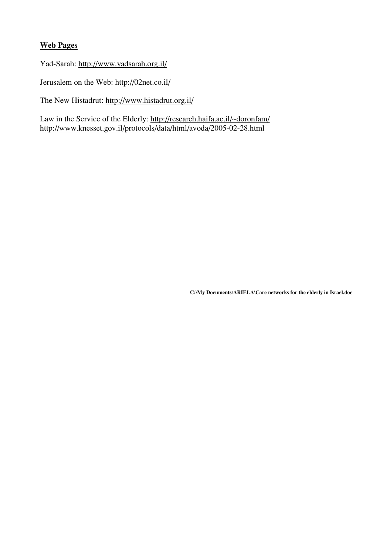### **Web Pages**

e<br>http://www.yadsarah.org.il/ //www.yadsarah.org.il/<br>Web: http://02net.co.il/

Jerusalem on the Web: http://02net.co.il/<br>The New Histadrut: <u>http://www.histadrut.org.il/</u>

Law in the Service of the Elderly: http://research.haifa.ac.il/~doronfam/ http://www.knesset.gov.il/protocols/data/html/avoda/2005-02-28.html

**Documents\ARIELA\Care networks for the elderly in Israel.doc**